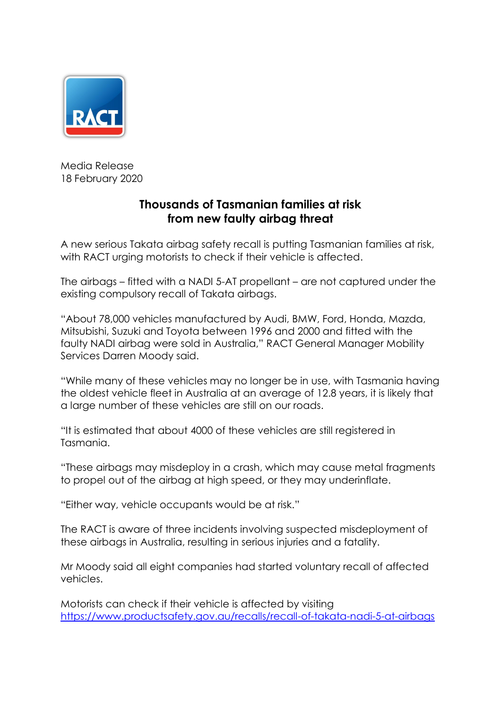

Media Release 18 February 2020

## **Thousands of Tasmanian families at risk from new faulty airbag threat**

A new serious Takata airbag safety recall is putting Tasmanian families at risk, with RACT urging motorists to check if their vehicle is affected.

The airbags – fitted with a NADI 5-AT propellant – are not captured under the existing compulsory recall of Takata airbags.

"About 78,000 vehicles manufactured by Audi, BMW, Ford, Honda, Mazda, Mitsubishi, Suzuki and Toyota between 1996 and 2000 and fitted with the faulty NADI airbag were sold in Australia," RACT General Manager Mobility Services Darren Moody said.

"While many of these vehicles may no longer be in use, with Tasmania having the oldest vehicle fleet in Australia at an average of 12.8 years, it is likely that a large number of these vehicles are still on our roads.

"It is estimated that about 4000 of these vehicles are still registered in Tasmania.

"These airbags may misdeploy in a crash, which may cause metal fragments to propel out of the airbag at high speed, or they may underinflate.

"Either way, vehicle occupants would be at risk."

The RACT is aware of three incidents involving suspected misdeployment of these airbags in Australia, resulting in serious injuries and a fatality.

Mr Moody said all eight companies had started voluntary recall of affected vehicles.

Motorists can check if their vehicle is affected by visiting <https://www.productsafety.gov.au/recalls/recall-of-takata-nadi-5-at-airbags>